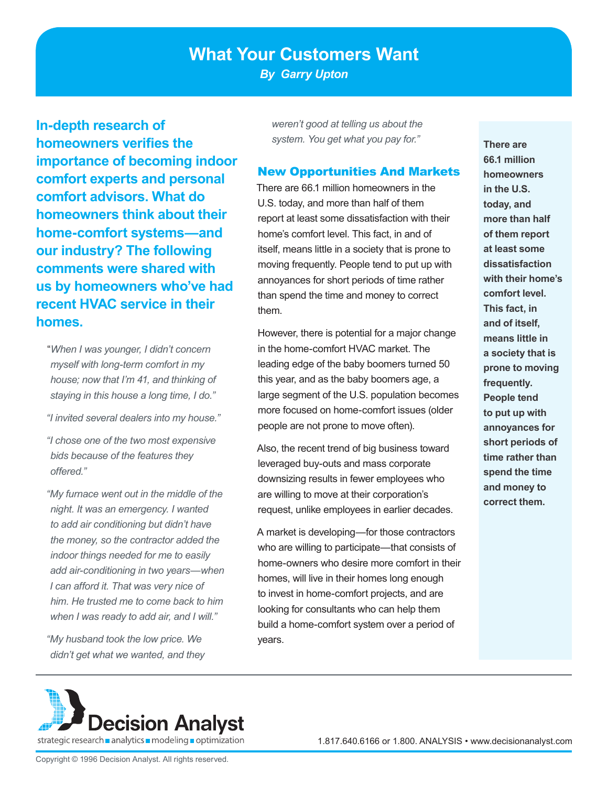# **What Your Customers Want**

*By Garry Upton*

**In-depth research of homeowners verifies the importance of becoming indoor comfort experts and personal comfort advisors. What do homeowners think about their home-comfort systems—and our industry? The following comments were shared with us by homeowners who've had recent HVAC service in their homes.** 

"*When I was younger, I didn't concern myself with long-term comfort in my house; now that I'm 41, and thinking of staying in this house a long time, I do."*

*"I invited several dealers into my house."*

*"I chose one of the two most expensive bids because of the features they offered."*

*"My furnace went out in the middle of the night. It was an emergency. I wanted to add air conditioning but didn't have the money, so the contractor added the indoor things needed for me to easily add air-conditioning in two years—when I can afford it. That was very nice of him. He trusted me to come back to him when I was ready to add air, and I will."*

*"My husband took the low price. We didn't get what we wanted, and they*  *weren't good at telling us about the system. You get what you pay for."*

#### New Opportunities And Markets

There are 66.1 million homeowners in the U.S. today, and more than half of them report at least some dissatisfaction with their home's comfort level. This fact, in and of itself, means little in a society that is prone to moving frequently. People tend to put up with annoyances for short periods of time rather than spend the time and money to correct them.

However, there is potential for a major change in the home-comfort HVAC market. The leading edge of the baby boomers turned 50 this year, and as the baby boomers age, a large segment of the U.S. population becomes more focused on home-comfort issues (older people are not prone to move often).

Also, the recent trend of big business toward leveraged buy-outs and mass corporate downsizing results in fewer employees who are willing to move at their corporation's request, unlike employees in earlier decades.

A market is developing—for those contractors who are willing to participate—that consists of home-owners who desire more comfort in their homes, will live in their homes long enough to invest in home-comfort projects, and are looking for consultants who can help them build a home-comfort system over a period of years.

**There are 66.1 million homeowners in the U.S. today, and more than half of them report at least some dissatisfaction with their home's comfort level. This fact, in and of itself, means little in a society that is prone to moving frequently. People tend to put up with annoyances for short periods of time rather than spend the time and money to correct them.**

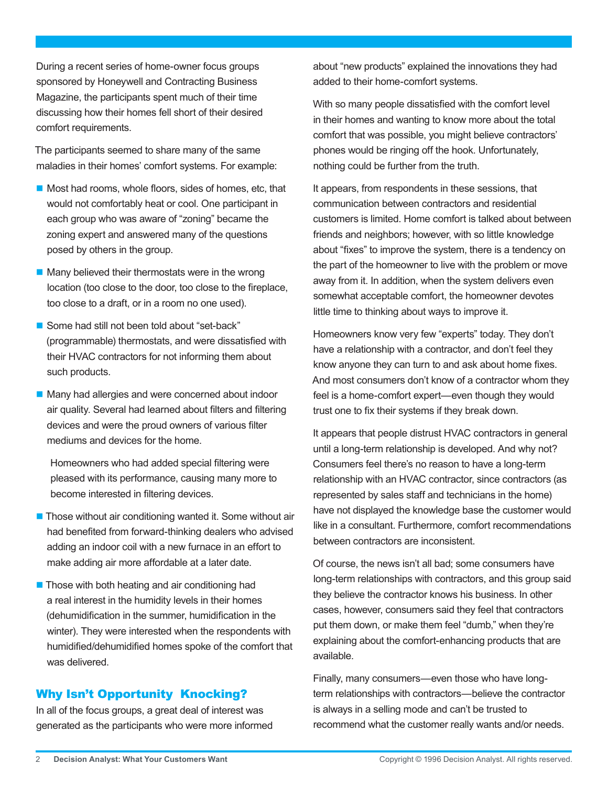During a recent series of home-owner focus groups sponsored by Honeywell and Contracting Business Magazine, the participants spent much of their time discussing how their homes fell short of their desired comfort requirements.

The participants seemed to share many of the same maladies in their homes' comfort systems. For example:

- $\blacksquare$  Most had rooms, whole floors, sides of homes, etc, that would not comfortably heat or cool. One participant in each group who was aware of "zoning" became the zoning expert and answered many of the questions posed by others in the group.
- $\blacksquare$  Many believed their thermostats were in the wrong location (too close to the door, too close to the fireplace, too close to a draft, or in a room no one used).
- Some had still not been told about "set-back" (programmable) thermostats, and were dissatisfied with their HVAC contractors for not informing them about such products.
- Many had allergies and were concerned about indoor air quality. Several had learned about filters and filtering devices and were the proud owners of various filter mediums and devices for the home.

Homeowners who had added special filtering were pleased with its performance, causing many more to become interested in filtering devices.

- $\blacksquare$  Those without air conditioning wanted it. Some without air had benefited from forward-thinking dealers who advised adding an indoor coil with a new furnace in an effort to make adding air more affordable at a later date.
- $\blacksquare$  Those with both heating and air conditioning had a real interest in the humidity levels in their homes (dehumidification in the summer, humidification in the winter). They were interested when the respondents with humidified/dehumidified homes spoke of the comfort that was delivered.

## Why Isn't Opportunity Knocking?

In all of the focus groups, a great deal of interest was generated as the participants who were more informed about "new products" explained the innovations they had added to their home-comfort systems.

With so many people dissatisfied with the comfort level in their homes and wanting to know more about the total comfort that was possible, you might believe contractors' phones would be ringing off the hook. Unfortunately, nothing could be further from the truth.

It appears, from respondents in these sessions, that communication between contractors and residential customers is limited. Home comfort is talked about between friends and neighbors; however, with so little knowledge about "fixes" to improve the system, there is a tendency on the part of the homeowner to live with the problem or move away from it. In addition, when the system delivers even somewhat acceptable comfort, the homeowner devotes little time to thinking about ways to improve it.

Homeowners know very few "experts" today. They don't have a relationship with a contractor, and don't feel they know anyone they can turn to and ask about home fixes. And most consumers don't know of a contractor whom they feel is a home-comfort expert—even though they would trust one to fix their systems if they break down.

It appears that people distrust HVAC contractors in general until a long-term relationship is developed. And why not? Consumers feel there's no reason to have a long-term relationship with an HVAC contractor, since contractors (as represented by sales staff and technicians in the home) have not displayed the knowledge base the customer would like in a consultant. Furthermore, comfort recommendations between contractors are inconsistent.

Of course, the news isn't all bad; some consumers have long-term relationships with contractors, and this group said they believe the contractor knows his business. In other cases, however, consumers said they feel that contractors put them down, or make them feel "dumb," when they're explaining about the comfort-enhancing products that are available.

Finally, many consumers—even those who have longterm relationships with contractors—believe the contractor is always in a selling mode and can't be trusted to recommend what the customer really wants and/or needs.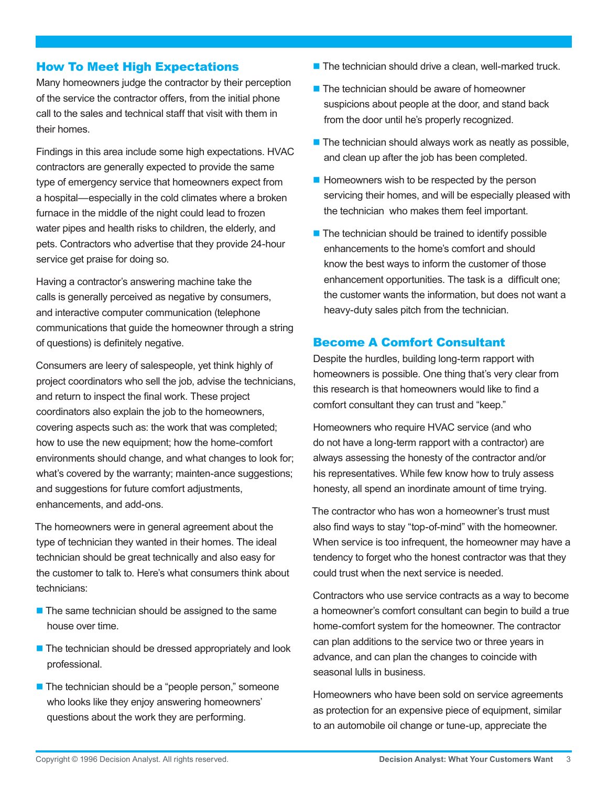### How To Meet High Expectations

Many homeowners judge the contractor by their perception of the service the contractor offers, from the initial phone call to the sales and technical staff that visit with them in their homes.

Findings in this area include some high expectations. HVAC contractors are generally expected to provide the same type of emergency service that homeowners expect from a hospital—especially in the cold climates where a broken furnace in the middle of the night could lead to frozen water pipes and health risks to children, the elderly, and pets. Contractors who advertise that they provide 24-hour service get praise for doing so.

Having a contractor's answering machine take the calls is generally perceived as negative by consumers, and interactive computer communication (telephone communications that guide the homeowner through a string of questions) is definitely negative.

Consumers are leery of salespeople, yet think highly of project coordinators who sell the job, advise the technicians, and return to inspect the final work. These project coordinators also explain the job to the homeowners, covering aspects such as: the work that was completed; how to use the new equipment; how the home-comfort environments should change, and what changes to look for; what's covered by the warranty; mainten-ance suggestions; and suggestions for future comfort adjustments, enhancements, and add-ons.

The homeowners were in general agreement about the type of technician they wanted in their homes. The ideal technician should be great technically and also easy for the customer to talk to. Here's what consumers think about technicians:

- $\blacksquare$  The same technician should be assigned to the same house over time.
- The technician should be dressed appropriately and look professional.
- The technician should be a "people person," someone who looks like they enjoy answering homeowners' questions about the work they are performing.
- $\blacksquare$  The technician should drive a clean, well-marked truck.
- $\blacksquare$  The technician should be aware of homeowner suspicions about people at the door, and stand back from the door until he's properly recognized.
- $\blacksquare$  The technician should always work as neatly as possible, and clean up after the job has been completed.
- $\blacksquare$  Homeowners wish to be respected by the person servicing their homes, and will be especially pleased with the technician who makes them feel important.
- $\blacksquare$  The technician should be trained to identify possible enhancements to the home's comfort and should know the best ways to inform the customer of those enhancement opportunities. The task is a difficult one; the customer wants the information, but does not want a heavy-duty sales pitch from the technician.

### Become A Comfort Consultant

Despite the hurdles, building long-term rapport with homeowners is possible. One thing that's very clear from this research is that homeowners would like to find a comfort consultant they can trust and "keep."

Homeowners who require HVAC service (and who do not have a long-term rapport with a contractor) are always assessing the honesty of the contractor and/or his representatives. While few know how to truly assess honesty, all spend an inordinate amount of time trying.

The contractor who has won a homeowner's trust must also find ways to stay "top-of-mind" with the homeowner. When service is too infrequent, the homeowner may have a tendency to forget who the honest contractor was that they could trust when the next service is needed.

Contractors who use service contracts as a way to become a homeowner's comfort consultant can begin to build a true home-comfort system for the homeowner. The contractor can plan additions to the service two or three years in advance, and can plan the changes to coincide with seasonal lulls in business.

Homeowners who have been sold on service agreements as protection for an expensive piece of equipment, similar to an automobile oil change or tune-up, appreciate the